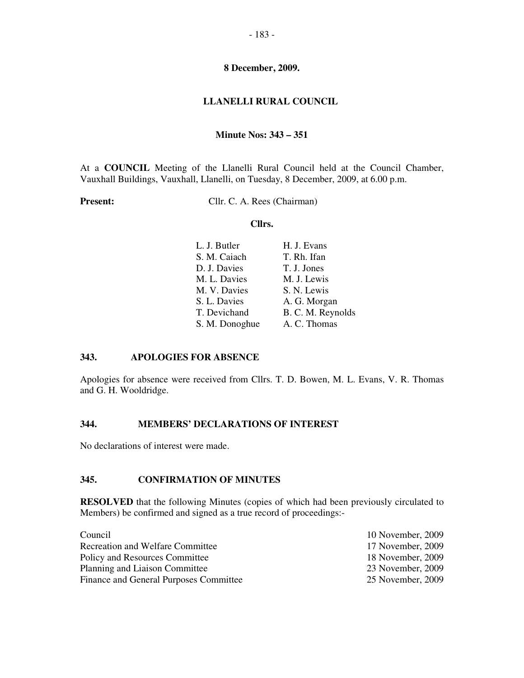### **LLANELLI RURAL COUNCIL**

#### **Minute Nos: 343 – 351**

At a **COUNCIL** Meeting of the Llanelli Rural Council held at the Council Chamber, Vauxhall Buildings, Vauxhall, Llanelli, on Tuesday, 8 December, 2009, at 6.00 p.m.

**Present:** Cllr. C. A. Rees (Chairman)

#### **Cllrs.**

| H. J. Evans                                                                                                                    |
|--------------------------------------------------------------------------------------------------------------------------------|
| T. Rh. Ifan                                                                                                                    |
| T. J. Jones                                                                                                                    |
| M. J. Lewis                                                                                                                    |
| S. N. Lewis                                                                                                                    |
| A. G. Morgan                                                                                                                   |
| B. C. M. Reynolds                                                                                                              |
| A. C. Thomas                                                                                                                   |
| L. J. Butler<br>S. M. Caiach<br>D. J. Davies<br>M. L. Davies<br>M. V. Davies<br>S. L. Davies<br>T. Devichand<br>S. M. Donoghue |

### **343. APOLOGIES FOR ABSENCE**

Apologies for absence were received from Cllrs. T. D. Bowen, M. L. Evans, V. R. Thomas and G. H. Wooldridge.

#### **344. MEMBERS' DECLARATIONS OF INTEREST**

No declarations of interest were made.

### **345. CONFIRMATION OF MINUTES**

**RESOLVED** that the following Minutes (copies of which had been previously circulated to Members) be confirmed and signed as a true record of proceedings:-

| Council                                | 10 November, 2009 |
|----------------------------------------|-------------------|
| Recreation and Welfare Committee       | 17 November, 2009 |
| Policy and Resources Committee         | 18 November, 2009 |
| Planning and Liaison Committee         | 23 November, 2009 |
| Finance and General Purposes Committee | 25 November, 2009 |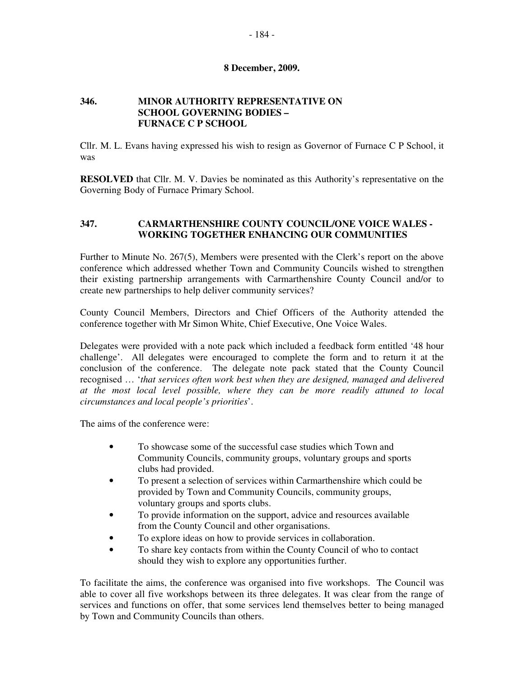## **346. MINOR AUTHORITY REPRESENTATIVE ON SCHOOL GOVERNING BODIES – FURNACE C P SCHOOL**

Cllr. M. L. Evans having expressed his wish to resign as Governor of Furnace C P School, it was

**RESOLVED** that Cllr. M. V. Davies be nominated as this Authority's representative on the Governing Body of Furnace Primary School.

## **347. CARMARTHENSHIRE COUNTY COUNCIL/ONE VOICE WALES - WORKING TOGETHER ENHANCING OUR COMMUNITIES**

Further to Minute No. 267(5), Members were presented with the Clerk's report on the above conference which addressed whether Town and Community Councils wished to strengthen their existing partnership arrangements with Carmarthenshire County Council and/or to create new partnerships to help deliver community services?

County Council Members, Directors and Chief Officers of the Authority attended the conference together with Mr Simon White, Chief Executive, One Voice Wales.

Delegates were provided with a note pack which included a feedback form entitled '48 hour challenge'. All delegates were encouraged to complete the form and to return it at the conclusion of the conference. The delegate note pack stated that the County Council recognised … '*that services often work best when they are designed, managed and delivered at the most local level possible, where they can be more readily attuned to local circumstances and local people's priorities*'.

The aims of the conference were:

- To showcase some of the successful case studies which Town and Community Councils, community groups, voluntary groups and sports clubs had provided.
- To present a selection of services within Carmarthenshire which could be provided by Town and Community Councils, community groups, voluntary groups and sports clubs.
- To provide information on the support, advice and resources available from the County Council and other organisations.
- To explore ideas on how to provide services in collaboration.
- To share key contacts from within the County Council of who to contact should they wish to explore any opportunities further.

To facilitate the aims, the conference was organised into five workshops. The Council was able to cover all five workshops between its three delegates. It was clear from the range of services and functions on offer, that some services lend themselves better to being managed by Town and Community Councils than others.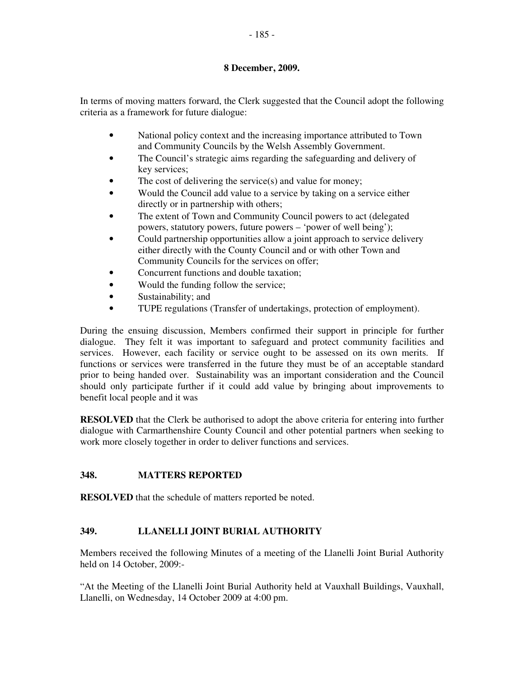In terms of moving matters forward, the Clerk suggested that the Council adopt the following criteria as a framework for future dialogue:

- National policy context and the increasing importance attributed to Town and Community Councils by the Welsh Assembly Government.
- The Council's strategic aims regarding the safeguarding and delivery of key services;
- The cost of delivering the service(s) and value for money;
- Would the Council add value to a service by taking on a service either directly or in partnership with others;
- The extent of Town and Community Council powers to act (delegated powers, statutory powers, future powers – 'power of well being');
- Could partnership opportunities allow a joint approach to service delivery either directly with the County Council and or with other Town and Community Councils for the services on offer;
- Concurrent functions and double taxation;
- Would the funding follow the service;
- Sustainability; and
- TUPE regulations (Transfer of undertakings, protection of employment).

During the ensuing discussion, Members confirmed their support in principle for further dialogue. They felt it was important to safeguard and protect community facilities and services. However, each facility or service ought to be assessed on its own merits. If functions or services were transferred in the future they must be of an acceptable standard prior to being handed over. Sustainability was an important consideration and the Council should only participate further if it could add value by bringing about improvements to benefit local people and it was

**RESOLVED** that the Clerk be authorised to adopt the above criteria for entering into further dialogue with Carmarthenshire County Council and other potential partners when seeking to work more closely together in order to deliver functions and services.

# **348. MATTERS REPORTED**

**RESOLVED** that the schedule of matters reported be noted.

# **349. LLANELLI JOINT BURIAL AUTHORITY**

Members received the following Minutes of a meeting of the Llanelli Joint Burial Authority held on 14 October, 2009:-

"At the Meeting of the Llanelli Joint Burial Authority held at Vauxhall Buildings, Vauxhall, Llanelli, on Wednesday, 14 October 2009 at 4:00 pm.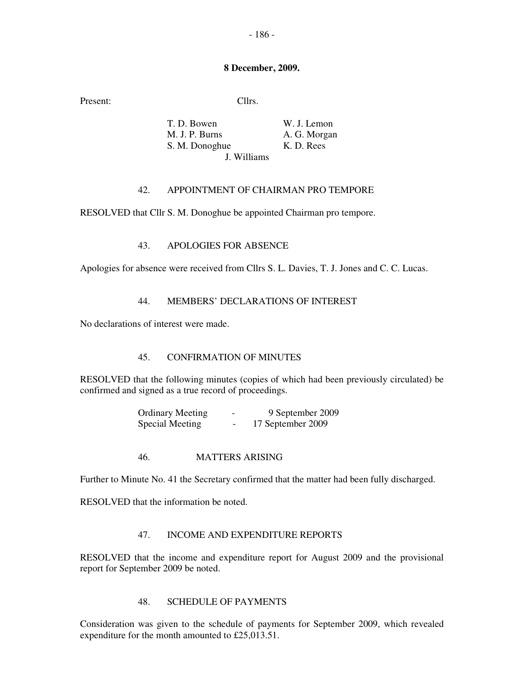Present: Cllrs.

T. D. Bowen W. J. Lemon M. J. P. Burns A. G. Morgan S. M. Donoghue K. D. Rees J. Williams

### 42. APPOINTMENT OF CHAIRMAN PRO TEMPORE

RESOLVED that Cllr S. M. Donoghue be appointed Chairman pro tempore.

#### 43. APOLOGIES FOR ABSENCE

Apologies for absence were received from Cllrs S. L. Davies, T. J. Jones and C. C. Lucas.

#### 44. MEMBERS' DECLARATIONS OF INTEREST

No declarations of interest were made.

#### 45. CONFIRMATION OF MINUTES

RESOLVED that the following minutes (copies of which had been previously circulated) be confirmed and signed as a true record of proceedings.

| <b>Ordinary Meeting</b> | $\overline{\phantom{0}}$ | 9 September 2009  |
|-------------------------|--------------------------|-------------------|
| Special Meeting         | -                        | 17 September 2009 |

#### 46. MATTERS ARISING

Further to Minute No. 41 the Secretary confirmed that the matter had been fully discharged.

RESOLVED that the information be noted.

#### 47. INCOME AND EXPENDITURE REPORTS

RESOLVED that the income and expenditure report for August 2009 and the provisional report for September 2009 be noted.

#### 48. SCHEDULE OF PAYMENTS

Consideration was given to the schedule of payments for September 2009, which revealed expenditure for the month amounted to £25,013.51.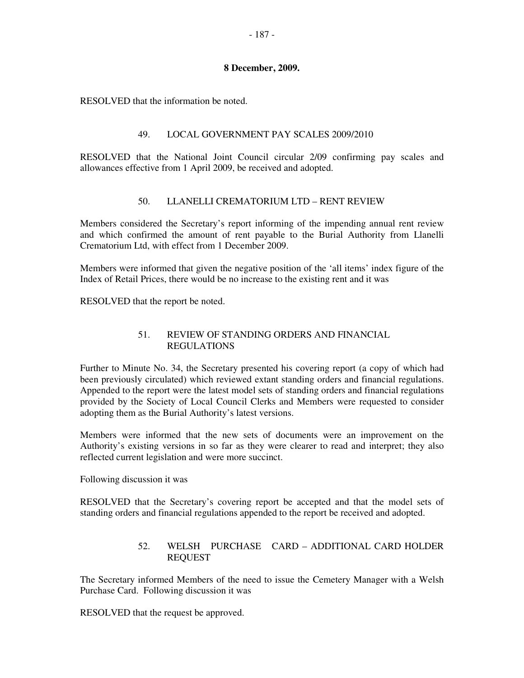RESOLVED that the information be noted.

## 49. LOCAL GOVERNMENT PAY SCALES 2009/2010

RESOLVED that the National Joint Council circular 2/09 confirming pay scales and allowances effective from 1 April 2009, be received and adopted.

### 50. LLANELLI CREMATORIUM LTD – RENT REVIEW

Members considered the Secretary's report informing of the impending annual rent review and which confirmed the amount of rent payable to the Burial Authority from Llanelli Crematorium Ltd, with effect from 1 December 2009.

Members were informed that given the negative position of the 'all items' index figure of the Index of Retail Prices, there would be no increase to the existing rent and it was

RESOLVED that the report be noted.

## 51. REVIEW OF STANDING ORDERS AND FINANCIAL REGULATIONS

Further to Minute No. 34, the Secretary presented his covering report (a copy of which had been previously circulated) which reviewed extant standing orders and financial regulations. Appended to the report were the latest model sets of standing orders and financial regulations provided by the Society of Local Council Clerks and Members were requested to consider adopting them as the Burial Authority's latest versions.

Members were informed that the new sets of documents were an improvement on the Authority's existing versions in so far as they were clearer to read and interpret; they also reflected current legislation and were more succinct.

Following discussion it was

RESOLVED that the Secretary's covering report be accepted and that the model sets of standing orders and financial regulations appended to the report be received and adopted.

# 52. WELSH PURCHASE CARD – ADDITIONAL CARD HOLDER REQUEST

The Secretary informed Members of the need to issue the Cemetery Manager with a Welsh Purchase Card. Following discussion it was

RESOLVED that the request be approved.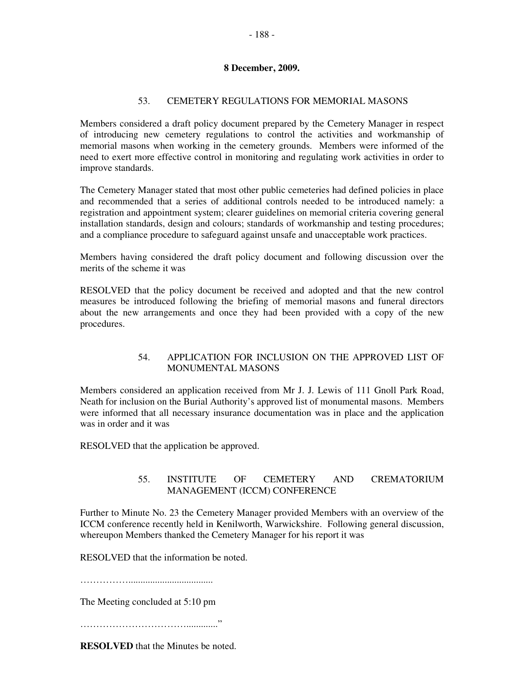# 53. CEMETERY REGULATIONS FOR MEMORIAL MASONS

Members considered a draft policy document prepared by the Cemetery Manager in respect of introducing new cemetery regulations to control the activities and workmanship of memorial masons when working in the cemetery grounds. Members were informed of the need to exert more effective control in monitoring and regulating work activities in order to improve standards.

The Cemetery Manager stated that most other public cemeteries had defined policies in place and recommended that a series of additional controls needed to be introduced namely: a registration and appointment system; clearer guidelines on memorial criteria covering general installation standards, design and colours; standards of workmanship and testing procedures; and a compliance procedure to safeguard against unsafe and unacceptable work practices.

Members having considered the draft policy document and following discussion over the merits of the scheme it was

RESOLVED that the policy document be received and adopted and that the new control measures be introduced following the briefing of memorial masons and funeral directors about the new arrangements and once they had been provided with a copy of the new procedures.

## 54. APPLICATION FOR INCLUSION ON THE APPROVED LIST OF MONUMENTAL MASONS

Members considered an application received from Mr J. J. Lewis of 111 Gnoll Park Road, Neath for inclusion on the Burial Authority's approved list of monumental masons. Members were informed that all necessary insurance documentation was in place and the application was in order and it was

RESOLVED that the application be approved.

## 55. INSTITUTE OF CEMETERY AND CREMATORIUM MANAGEMENT (ICCM) CONFERENCE

Further to Minute No. 23 the Cemetery Manager provided Members with an overview of the ICCM conference recently held in Kenilworth, Warwickshire. Following general discussion, whereupon Members thanked the Cemetery Manager for his report it was

RESOLVED that the information be noted.

……………...................................

The Meeting concluded at 5:10 pm

……………………………............."

**RESOLVED** that the Minutes be noted.